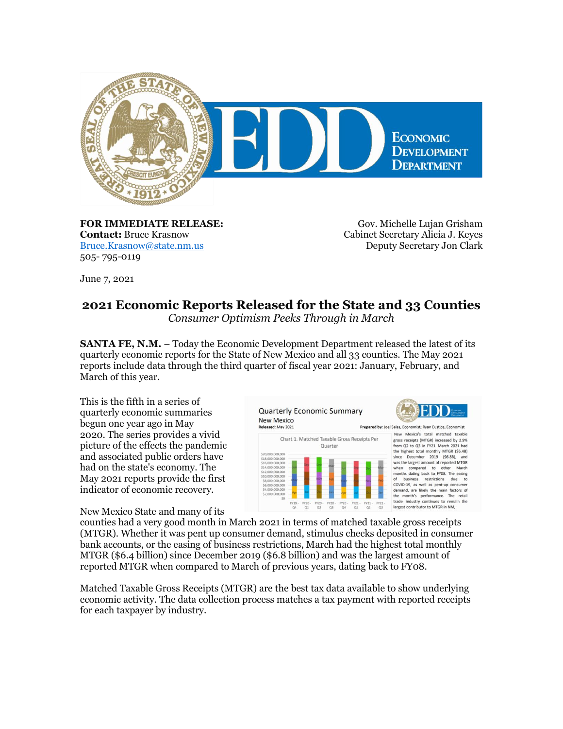

**FOR IMMEDIATE RELEASE: Contact:** Bruce Krasnow [Bruce.Krasnow@state.nm.us](mailto:Bruce.Krasnow@state.nm.us) 505- 795-0119

Gov. Michelle Lujan Grisham Cabinet Secretary Alicia J. Keyes Deputy Secretary Jon Clark

June 7, 2021

## **2021 Economic Reports Released for the State and 33 Counties**

*Consumer Optimism Peeks Through in March*

**SANTA FE, N.M.** – Today the Economic Development Department released the latest of its quarterly economic reports for the State of New Mexico and all 33 counties. The May 2021 reports include data through the third quarter of fiscal year 2021: January, February, and March of this year.

This is the fifth in a series of quarterly economic summaries begun one year ago in May 2020. The series provides a vivid picture of the effects the pandemic and associated public orders have had on the state's economy. The May 2021 reports provide the first indicator of economic recovery.

New Mexico State and many of its

**Quarterly Economic Summary New Mexico** Released: May 2021



Prepared by: Joel Salas, Economist: Ryan Eustice, Economist New Mexico's total matched taxable gross receipts (MTGR) increased by 2.9% from Q2 to Q3 in FY21. March 2021 had the highest total monthly MTGR (\$6.48)<br>since December 2019 (\$6.88), and<br>was the largest amount of reported MTGR when compared to other March<br>months dating back to FY08. The easing<br>of business restrictions due to<br>COVID-19, as well as pent-up consumer LOVID-19, as well as pent-up consumer<br>demand, are likely the main factors of<br>the month's performance. The retail<br>trade industry continues to remain the<br>largest contributor to MTGR in NM,

counties had a very good month in March 2021 in terms of matched taxable gross receipts (MTGR). Whether it was pent up consumer demand, stimulus checks deposited in consumer bank accounts, or the easing of business restrictions, March had the highest total monthly MTGR (\$6.4 billion) since December 2019 (\$6.8 billion) and was the largest amount of reported MTGR when compared to March of previous years, dating back to FY08.

Matched Taxable Gross Receipts (MTGR) are the best tax data available to show underlying economic activity. The data collection process matches a tax payment with reported receipts for each taxpayer by industry.